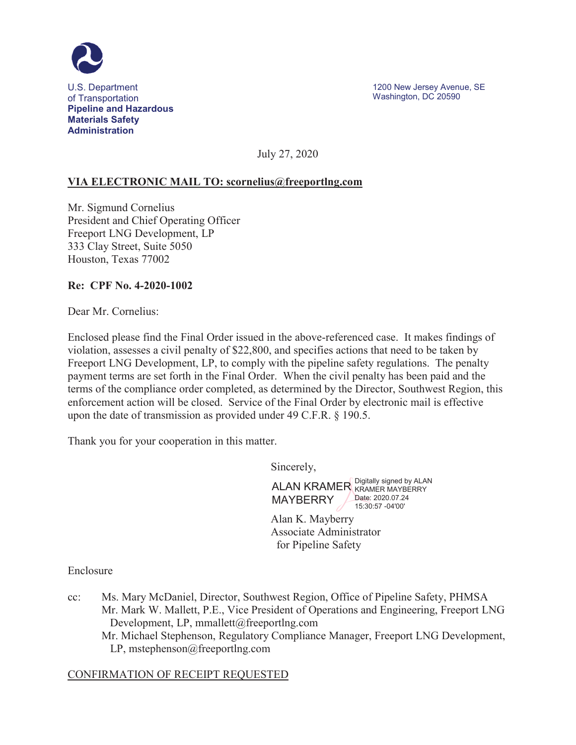

July 27, 2020

### **VIA ELECTRONIC MAIL TO: scornelius@freeportlng.com**

Mr. Sigmund Cornelius President and Chief Operating Officer Freeport LNG Development, LP 333 Clay Street, Suite 5050 Houston, Texas 77002

#### **Re: CPF No. 4-2020-1002**

Dear Mr. Cornelius:

Enclosed please find the Final Order issued in the above-referenced case. It makes findings of violation, assesses a civil penalty of \$22,800, and specifies actions that need to be taken by Freeport LNG Development, LP, to comply with the pipeline safety regulations. The penalty payment terms are set forth in the Final Order. When the civil penalty has been paid and the terms of the compliance order completed, as determined by the Director, Southwest Region, this enforcement action will be closed. Service of the Final Order by electronic mail is effective upon the date of transmission as provided under 49 C.F.R. § 190.5.

Thank you for your cooperation in this matter.

Sincerely,

ALAN KRAMER Digitally signed by ALAN MAYBERRY KRAMER MAYBERRY Date: 2020.07.24 15:30:57 -04'00'

Alan K. Mayberry Associate Administrator for Pipeline Safety

Enclosure

cc: Ms. Mary McDaniel, Director, Southwest Region, Office of Pipeline Safety, PHMSA Mr. Mark W. Mallett, P.E., Vice President of Operations and Engineering, Freeport LNG Development, LP, mmallett@freeportlng.com Mr. Michael Stephenson, Regulatory Compliance Manager, Freeport LNG Development, LP, mstephenson@freeportlng.com

#### CONFIRMATION OF RECEIPT REQUESTED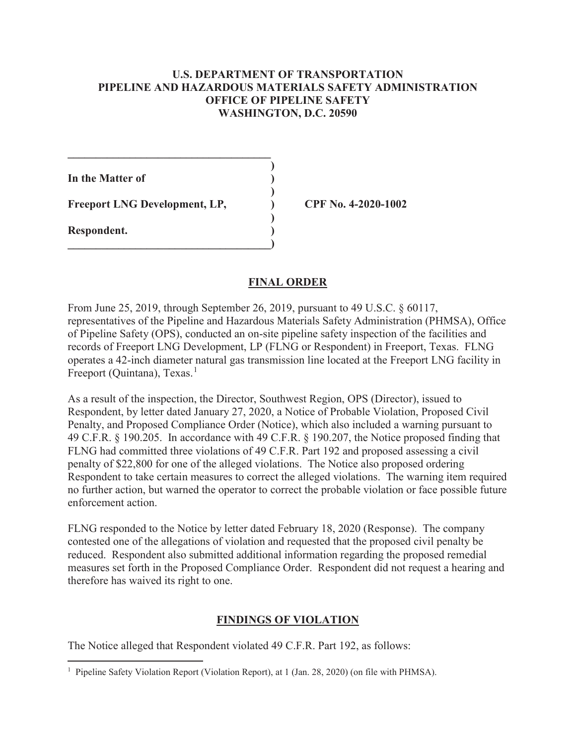#### **U.S. DEPARTMENT OF TRANSPORTATION PIPELINE AND HAZARDOUS MATERIALS SAFETY ADMINISTRATION OFFICE OF PIPELINE SAFETY WASHINGTON, D.C. 20590**

**In the Matter of )** 

Freeport LNG Development, LP,  $\qquad \qquad$  (PF No. 4-2020-1002)

 $\mathcal{L}=\{1,2,3,4,5\}$  **)** 

 **)** 

 **)** 

**\_\_\_\_\_\_\_\_\_\_\_\_\_\_\_\_\_\_\_\_\_\_\_\_\_\_\_\_\_\_\_\_\_\_\_\_)** 

**Respondent. )** 

### **FINAL ORDER**

From June 25, 2019, through September 26, 2019, pursuant to 49 U.S.C. § 60117, representatives of the Pipeline and Hazardous Materials Safety Administration (PHMSA), Office of Pipeline Safety (OPS), conducted an on-site pipeline safety inspection of the facilities and records of Freeport LNG Development, LP (FLNG or Respondent) in Freeport, Texas. FLNG operates a 42-inch diameter natural gas transmission line located at the Freeport LNG facility in Freeport (Quintana), Texas.<sup>1</sup>

As a result of the inspection, the Director, Southwest Region, OPS (Director), issued to Respondent, by letter dated January 27, 2020, a Notice of Probable Violation, Proposed Civil Penalty, and Proposed Compliance Order (Notice), which also included a warning pursuant to 49 C.F.R. § 190.205. In accordance with 49 C.F.R. § 190.207, the Notice proposed finding that FLNG had committed three violations of 49 C.F.R. Part 192 and proposed assessing a civil penalty of \$22,800 for one of the alleged violations. The Notice also proposed ordering Respondent to take certain measures to correct the alleged violations. The warning item required no further action, but warned the operator to correct the probable violation or face possible future enforcement action.

FLNG responded to the Notice by letter dated February 18, 2020 (Response). The company contested one of the allegations of violation and requested that the proposed civil penalty be reduced. Respondent also submitted additional information regarding the proposed remedial measures set forth in the Proposed Compliance Order. Respondent did not request a hearing and therefore has waived its right to one.

# **FINDINGS OF VIOLATION**

The Notice alleged that Respondent violated 49 C.F.R. Part 192, as follows:

 1 Pipeline Safety Violation Report (Violation Report), at 1 (Jan. 28, 2020) (on file with PHMSA).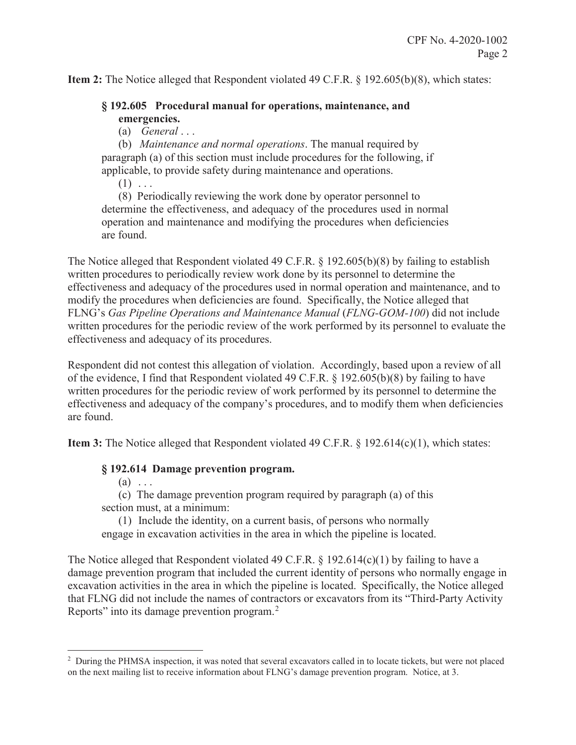**Item 2:** The Notice alleged that Respondent violated 49 C.F.R. § 192.605(b)(8), which states:

### **§ 192.605 Procedural manual for operations, maintenance, and emergencies.**

(a) *General* . . .

(b) *Maintenance and normal operations*. The manual required by paragraph (a) of this section must include procedures for the following, if applicable, to provide safety during maintenance and operations.

 $(1)$  ...

(8) Periodically reviewing the work done by operator personnel to determine the effectiveness, and adequacy of the procedures used in normal operation and maintenance and modifying the procedures when deficiencies are found.

The Notice alleged that Respondent violated 49 C.F.R. § 192.605(b)(8) by failing to establish written procedures to periodically review work done by its personnel to determine the effectiveness and adequacy of the procedures used in normal operation and maintenance, and to modify the procedures when deficiencies are found. Specifically, the Notice alleged that FLNG's *Gas Pipeline Operations and Maintenance Manual* (*FLNG-GOM-100*) did not include written procedures for the periodic review of the work performed by its personnel to evaluate the effectiveness and adequacy of its procedures.

Respondent did not contest this allegation of violation. Accordingly, based upon a review of all of the evidence, I find that Respondent violated 49 C.F.R. § 192.605(b)(8) by failing to have written procedures for the periodic review of work performed by its personnel to determine the effectiveness and adequacy of the company's procedures, and to modify them when deficiencies are found.

**Item 3:** The Notice alleged that Respondent violated 49 C.F.R. § 192.614(c)(1), which states:

### **§ 192.614 Damage prevention program.**

 $(a)$  ...

 $\overline{a}$ 

(c) The damage prevention program required by paragraph (a) of this section must, at a minimum:

(1) Include the identity, on a current basis, of persons who normally engage in excavation activities in the area in which the pipeline is located.

The Notice alleged that Respondent violated 49 C.F.R. § 192.614(c)(1) by failing to have a damage prevention program that included the current identity of persons who normally engage in excavation activities in the area in which the pipeline is located. Specifically, the Notice alleged that FLNG did not include the names of contractors or excavators from its "Third-Party Activity Reports" into its damage prevention program.<sup>2</sup>

<sup>&</sup>lt;sup>2</sup> During the PHMSA inspection, it was noted that several excavators called in to locate tickets, but were not placed on the next mailing list to receive information about FLNG's damage prevention program. Notice, at 3.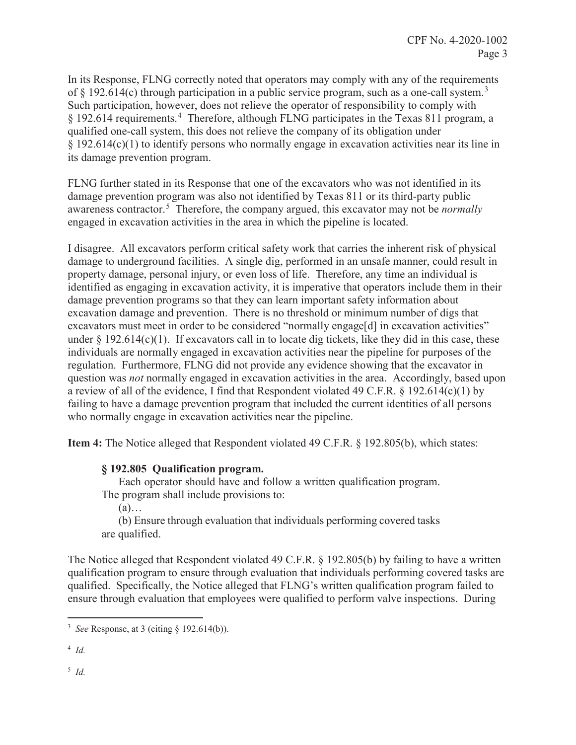In its Response, FLNG correctly noted that operators may comply with any of the requirements of  $\S$  192.614(c) through participation in a public service program, such as a one-call system.<sup>3</sup> Such participation, however, does not relieve the operator of responsibility to comply with § 192.614 requirements.<sup>4</sup> Therefore, although FLNG participates in the Texas 811 program, a qualified one-call system, this does not relieve the company of its obligation under § 192.614(c)(1) to identify persons who normally engage in excavation activities near its line in its damage prevention program.

FLNG further stated in its Response that one of the excavators who was not identified in its damage prevention program was also not identified by Texas 811 or its third-party public awareness contractor.<sup>5</sup> Therefore, the company argued, this excavator may not be *normally* engaged in excavation activities in the area in which the pipeline is located.

I disagree. All excavators perform critical safety work that carries the inherent risk of physical damage to underground facilities. A single dig, performed in an unsafe manner, could result in property damage, personal injury, or even loss of life. Therefore, any time an individual is identified as engaging in excavation activity, it is imperative that operators include them in their damage prevention programs so that they can learn important safety information about excavation damage and prevention. There is no threshold or minimum number of digs that excavators must meet in order to be considered "normally engage[d] in excavation activities" under  $\S$  192.614(c)(1). If excavators call in to locate dig tickets, like they did in this case, these individuals are normally engaged in excavation activities near the pipeline for purposes of the regulation. Furthermore, FLNG did not provide any evidence showing that the excavator in question was *not* normally engaged in excavation activities in the area. Accordingly, based upon a review of all of the evidence, I find that Respondent violated 49 C.F.R. § 192.614(c)(1) by failing to have a damage prevention program that included the current identities of all persons who normally engage in excavation activities near the pipeline.

**Item 4:** The Notice alleged that Respondent violated 49 C.F.R. § 192.805(b), which states:

### **§ 192.805 Qualification program.**

Each operator should have and follow a written qualification program. The program shall include provisions to:

 $(a)$ …

(b) Ensure through evaluation that individuals performing covered tasks are qualified.

The Notice alleged that Respondent violated 49 C.F.R. § 192.805(b) by failing to have a written qualification program to ensure through evaluation that individuals performing covered tasks are qualified. Specifically, the Notice alleged that FLNG's written qualification program failed to ensure through evaluation that employees were qualified to perform valve inspections. During

4 *Id.* 

5 *Id.* 

<sup>&</sup>lt;sup>3</sup> See Response, at 3 (citing  $\S$  192.614(b)).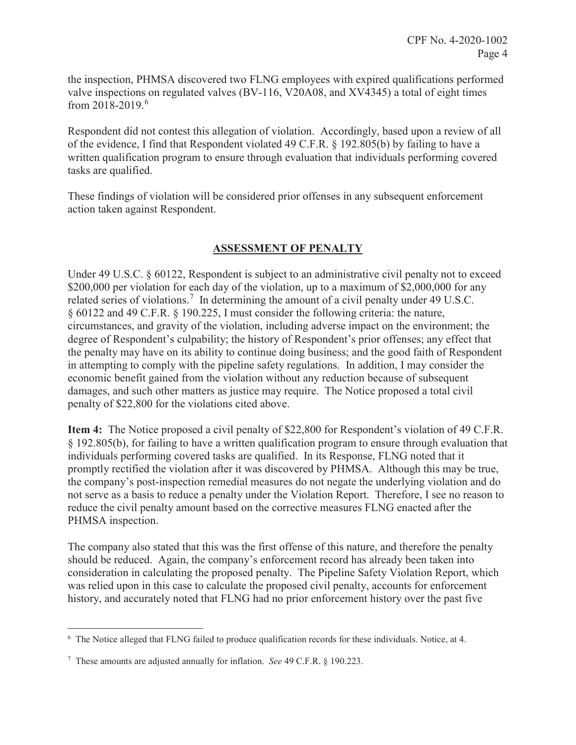the inspection, PHMSA discovered two FLNG employees with expired qualifications performed valve inspections on regulated valves (BV-116, V20A08, and XV4345) a total of eight times from 2018-2019.<sup>6</sup>

Respondent did not contest this allegation of violation. Accordingly, based upon a review of all of the evidence, I find that Respondent violated 49 C.F.R. § 192.805(b) by failing to have a written qualification program to ensure through evaluation that individuals performing covered tasks are qualified.

These findings of violation will be considered prior offenses in any subsequent enforcement action taken against Respondent.

# **ASSESSMENT OF PENALTY**

Under 49 U.S.C. § 60122, Respondent is subject to an administrative civil penalty not to exceed \$200,000 per violation for each day of the violation, up to a maximum of \$2,000,000 for any related series of violations.<sup>7</sup> In determining the amount of a civil penalty under 49 U.S.C. § 60122 and 49 C.F.R. § 190.225, I must consider the following criteria: the nature, circumstances, and gravity of the violation, including adverse impact on the environment; the degree of Respondent's culpability; the history of Respondent's prior offenses; any effect that the penalty may have on its ability to continue doing business; and the good faith of Respondent in attempting to comply with the pipeline safety regulations. In addition, I may consider the economic benefit gained from the violation without any reduction because of subsequent damages, and such other matters as justice may require. The Notice proposed a total civil penalty of \$22,800 for the violations cited above.

**Item 4:** The Notice proposed a civil penalty of \$22,800 for Respondent's violation of 49 C.F.R. § 192.805(b), for failing to have a written qualification program to ensure through evaluation that individuals performing covered tasks are qualified. In its Response, FLNG noted that it promptly rectified the violation after it was discovered by PHMSA. Although this may be true, the company's post-inspection remedial measures do not negate the underlying violation and do not serve as a basis to reduce a penalty under the Violation Report. Therefore, I see no reason to reduce the civil penalty amount based on the corrective measures FLNG enacted after the PHMSA inspection.

The company also stated that this was the first offense of this nature, and therefore the penalty should be reduced. Again, the company's enforcement record has already been taken into consideration in calculating the proposed penalty. The Pipeline Safety Violation Report, which was relied upon in this case to calculate the proposed civil penalty, accounts for enforcement history, and accurately noted that FLNG had no prior enforcement history over the past five

 $\overline{a}$ 

<sup>&</sup>lt;sup>6</sup> The Notice alleged that FLNG failed to produce qualification records for these individuals. Notice, at 4.

<sup>7</sup> These amounts are adjusted annually for inflation. *See* 49 C.F.R. § 190.223.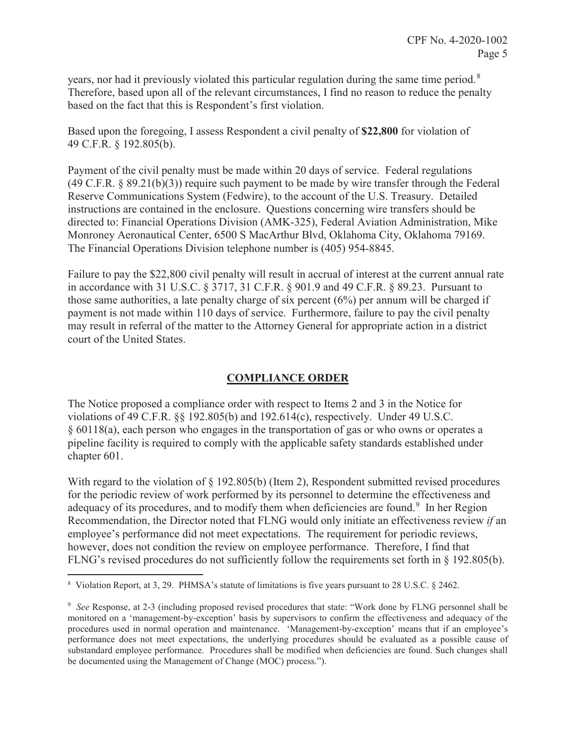years, nor had it previously violated this particular regulation during the same time period.<sup>8</sup> Therefore, based upon all of the relevant circumstances, I find no reason to reduce the penalty based on the fact that this is Respondent's first violation.

Based upon the foregoing, I assess Respondent a civil penalty of **\$22,800** for violation of 49 C.F.R. § 192.805(b).

Payment of the civil penalty must be made within 20 days of service. Federal regulations (49 C.F.R. § 89.21(b)(3)) require such payment to be made by wire transfer through the Federal Reserve Communications System (Fedwire), to the account of the U.S. Treasury. Detailed instructions are contained in the enclosure. Questions concerning wire transfers should be directed to: Financial Operations Division (AMK-325), Federal Aviation Administration, Mike Monroney Aeronautical Center, 6500 S MacArthur Blvd, Oklahoma City, Oklahoma 79169. The Financial Operations Division telephone number is (405) 954-8845.

Failure to pay the \$22,800 civil penalty will result in accrual of interest at the current annual rate in accordance with 31 U.S.C. § 3717, 31 C.F.R. § 901.9 and 49 C.F.R. § 89.23. Pursuant to those same authorities, a late penalty charge of six percent (6%) per annum will be charged if payment is not made within 110 days of service. Furthermore, failure to pay the civil penalty may result in referral of the matter to the Attorney General for appropriate action in a district court of the United States.

## **COMPLIANCE ORDER**

The Notice proposed a compliance order with respect to Items 2 and 3 in the Notice for violations of 49 C.F.R. §§ 192.805(b) and 192.614(c), respectively. Under 49 U.S.C. § 60118(a), each person who engages in the transportation of gas or who owns or operates a pipeline facility is required to comply with the applicable safety standards established under chapter 601.

With regard to the violation of  $\S$  192.805(b) (Item 2), Respondent submitted revised procedures for the periodic review of work performed by its personnel to determine the effectiveness and adequacy of its procedures, and to modify them when deficiencies are found.<sup>9</sup> In her Region Recommendation, the Director noted that FLNG would only initiate an effectiveness review *if* an employee's performance did not meet expectations. The requirement for periodic reviews, however, does not condition the review on employee performance. Therefore, I find that FLNG's revised procedures do not sufficiently follow the requirements set forth in § 192.805(b).

 8 Violation Report, at 3, 29. PHMSA's statute of limitations is five years pursuant to 28 U.S.C. § 2462.

<sup>9</sup> *See* Response, at 2-3 (including proposed revised procedures that state: "Work done by FLNG personnel shall be monitored on a 'management-by-exception' basis by supervisors to confirm the effectiveness and adequacy of the procedures used in normal operation and maintenance. 'Management-by-exception' means that if an employee's performance does not meet expectations, the underlying procedures should be evaluated as a possible cause of substandard employee performance. Procedures shall be modified when deficiencies are found. Such changes shall be documented using the Management of Change (MOC) process.").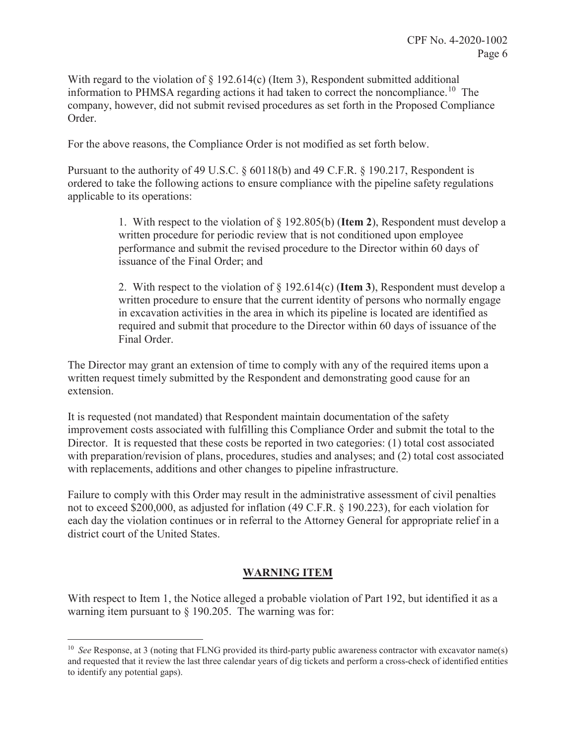With regard to the violation of  $\S$  192.614(c) (Item 3), Respondent submitted additional information to PHMSA regarding actions it had taken to correct the noncompliance.<sup>10</sup> The company, however, did not submit revised procedures as set forth in the Proposed Compliance Order.

For the above reasons, the Compliance Order is not modified as set forth below.

Pursuant to the authority of 49 U.S.C. § 60118(b) and 49 C.F.R. § 190.217, Respondent is ordered to take the following actions to ensure compliance with the pipeline safety regulations applicable to its operations:

> 1. With respect to the violation of § 192.805(b) (**Item 2**), Respondent must develop a written procedure for periodic review that is not conditioned upon employee performance and submit the revised procedure to the Director within 60 days of issuance of the Final Order; and

> 2. With respect to the violation of § 192.614(c) (**Item 3**), Respondent must develop a written procedure to ensure that the current identity of persons who normally engage in excavation activities in the area in which its pipeline is located are identified as required and submit that procedure to the Director within 60 days of issuance of the Final Order.

The Director may grant an extension of time to comply with any of the required items upon a written request timely submitted by the Respondent and demonstrating good cause for an extension.

It is requested (not mandated) that Respondent maintain documentation of the safety improvement costs associated with fulfilling this Compliance Order and submit the total to the Director. It is requested that these costs be reported in two categories: (1) total cost associated with preparation/revision of plans, procedures, studies and analyses; and (2) total cost associated with replacements, additions and other changes to pipeline infrastructure.

Failure to comply with this Order may result in the administrative assessment of civil penalties not to exceed \$200,000, as adjusted for inflation (49 C.F.R. § 190.223), for each violation for each day the violation continues or in referral to the Attorney General for appropriate relief in a district court of the United States.

# **WARNING ITEM**

With respect to Item 1, the Notice alleged a probable violation of Part 192, but identified it as a warning item pursuant to § 190.205. The warning was for:

 $\overline{a}$ 

<sup>&</sup>lt;sup>10</sup> *See* Response, at 3 (noting that FLNG provided its third-party public awareness contractor with excavator name(s) and requested that it review the last three calendar years of dig tickets and perform a cross-check of identified entities to identify any potential gaps).